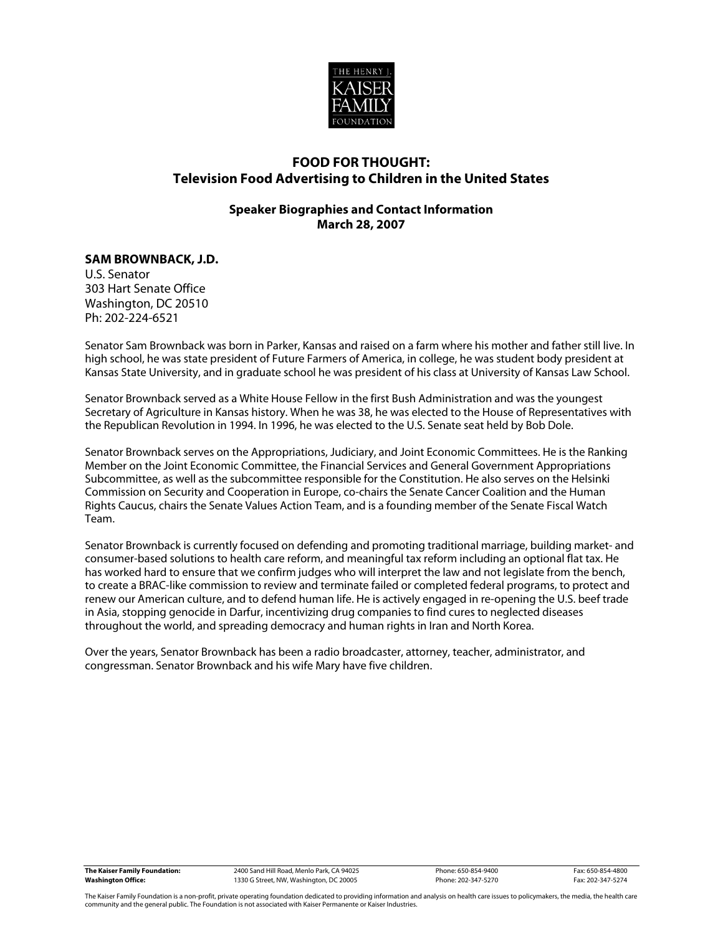

# **FOOD FOR THOUGHT: Television Food Advertising to Children in the United States**

## **Speaker Biographies and Contact Information March 28, 2007**

## **SAM BROWNBACK, J.D.**

U.S. Senator 303 Hart Senate Office Washington, DC 20510 Ph: 202-224-6521

Senator Sam Brownback was born in Parker, Kansas and raised on a farm where his mother and father still live. In high school, he was state president of Future Farmers of America, in college, he was student body president at Kansas State University, and in graduate school he was president of his class at University of Kansas Law School.

Senator Brownback served as a White House Fellow in the first Bush Administration and was the youngest Secretary of Agriculture in Kansas history. When he was 38, he was elected to the House of Representatives with the Republican Revolution in 1994. In 1996, he was elected to the U.S. Senate seat held by Bob Dole.

Senator Brownback serves on the Appropriations, Judiciary, and Joint Economic Committees. He is the Ranking Member on the Joint Economic Committee, the Financial Services and General Government Appropriations Subcommittee, as well as the subcommittee responsible for the Constitution. He also serves on the Helsinki Commission on Security and Cooperation in Europe, co-chairs the Senate Cancer Coalition and the Human Rights Caucus, chairs the Senate Values Action Team, and is a founding member of the Senate Fiscal Watch Team.

Senator Brownback is currently focused on defending and promoting traditional marriage, building market- and consumer-based solutions to health care reform, and meaningful tax reform including an optional flat tax. He has worked hard to ensure that we confirm judges who will interpret the law and not legislate from the bench, to create a BRAC-like commission to review and terminate failed or completed federal programs, to protect and renew our American culture, and to defend human life. He is actively engaged in re-opening the U.S. beef trade in Asia, stopping genocide in Darfur, incentivizing drug companies to find cures to neglected diseases throughout the world, and spreading democracy and human rights in Iran and North Korea.

Over the years, Senator Brownback has been a radio broadcaster, attorney, teacher, administrator, and congressman. Senator Brownback and his wife Mary have five children.

| The Kaiser Family Foundation: |
|-------------------------------|
| <b>Washington Office:</b>     |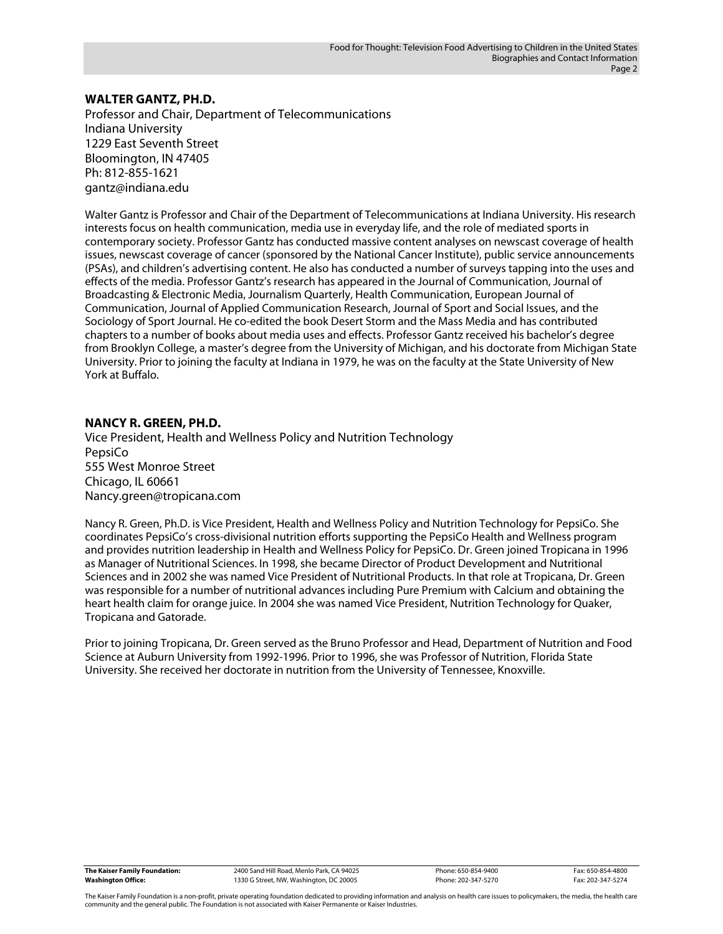#### **WALTER GANTZ, PH.D.**

Professor and Chair, Department of Telecommunications Indiana University 1229 East Seventh Street Bloomington, IN 47405 Ph: 812-855-1621 gantz@indiana.edu

Walter Gantz is Professor and Chair of the Department of Telecommunications at Indiana University. His research interests focus on health communication, media use in everyday life, and the role of mediated sports in contemporary society. Professor Gantz has conducted massive content analyses on newscast coverage of health issues, newscast coverage of cancer (sponsored by the National Cancer Institute), public service announcements (PSAs), and children's advertising content. He also has conducted a number of surveys tapping into the uses and effects of the media. Professor Gantz's research has appeared in the Journal of Communication, Journal of Broadcasting & Electronic Media, Journalism Quarterly, Health Communication, European Journal of Communication, Journal of Applied Communication Research, Journal of Sport and Social Issues, and the Sociology of Sport Journal. He co-edited the book Desert Storm and the Mass Media and has contributed chapters to a number of books about media uses and effects. Professor Gantz received his bachelor's degree from Brooklyn College, a master's degree from the University of Michigan, and his doctorate from Michigan State University. Prior to joining the faculty at Indiana in 1979, he was on the faculty at the State University of New York at Buffalo.

#### **NANCY R. GREEN, PH.D.**

Vice President, Health and Wellness Policy and Nutrition Technology PepsiCo 555 West Monroe Street Chicago, IL 60661 Nancy.green@tropicana.com

Nancy R. Green, Ph.D. is Vice President, Health and Wellness Policy and Nutrition Technology for PepsiCo. She coordinates PepsiCo's cross-divisional nutrition efforts supporting the PepsiCo Health and Wellness program and provides nutrition leadership in Health and Wellness Policy for PepsiCo. Dr. Green joined Tropicana in 1996 as Manager of Nutritional Sciences. In 1998, she became Director of Product Development and Nutritional Sciences and in 2002 she was named Vice President of Nutritional Products. In that role at Tropicana, Dr. Green was responsible for a number of nutritional advances including Pure Premium with Calcium and obtaining the heart health claim for orange juice. In 2004 she was named Vice President, Nutrition Technology for Quaker, Tropicana and Gatorade.

Prior to joining Tropicana, Dr. Green served as the Bruno Professor and Head, Department of Nutrition and Food Science at Auburn University from 1992-1996. Prior to 1996, she was Professor of Nutrition, Florida State University. She received her doctorate in nutrition from the University of Tennessee, Knoxville.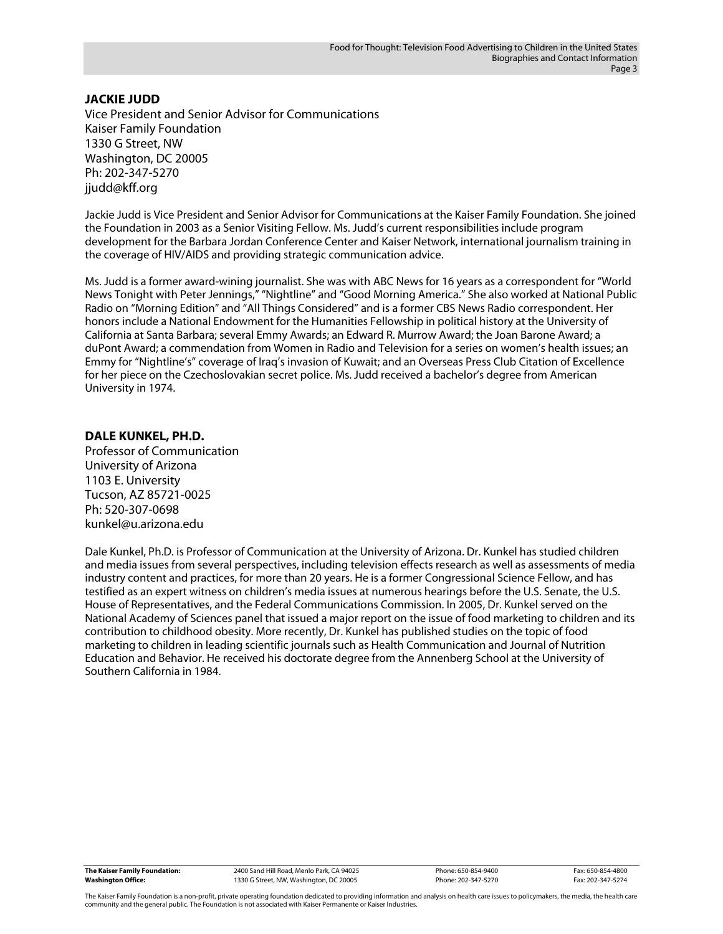## **JACKIE JUDD**

Vice President and Senior Advisor for Communications Kaiser Family Foundation 1330 G Street, NW Washington, DC 20005 Ph: 202-347-5270 jjudd@kff.org

Jackie Judd is Vice President and Senior Advisor for Communications at the Kaiser Family Foundation. She joined the Foundation in 2003 as a Senior Visiting Fellow. Ms. Judd's current responsibilities include program development for the Barbara Jordan Conference Center and Kaiser Network, international journalism training in the coverage of HIV/AIDS and providing strategic communication advice.

Ms. Judd is a former award-wining journalist. She was with ABC News for 16 years as a correspondent for "World News Tonight with Peter Jennings," "Nightline" and "Good Morning America." She also worked at National Public Radio on "Morning Edition" and "All Things Considered" and is a former CBS News Radio correspondent. Her honors include a National Endowment for the Humanities Fellowship in political history at the University of California at Santa Barbara; several Emmy Awards; an Edward R. Murrow Award; the Joan Barone Award; a duPont Award; a commendation from Women in Radio and Television for a series on women's health issues; an Emmy for "Nightline's" coverage of Iraq's invasion of Kuwait; and an Overseas Press Club Citation of Excellence for her piece on the Czechoslovakian secret police. Ms. Judd received a bachelor's degree from American University in 1974.

## **DALE KUNKEL, PH.D.**

Professor of Communication University of Arizona 1103 E. University Tucson, AZ 85721-0025 Ph: 520-307-0698 kunkel@u.arizona.edu

Dale Kunkel, Ph.D. is Professor of Communication at the University of Arizona. Dr. Kunkel has studied children and media issues from several perspectives, including television effects research as well as assessments of media industry content and practices, for more than 20 years. He is a former Congressional Science Fellow, and has testified as an expert witness on children's media issues at numerous hearings before the U.S. Senate, the U.S. House of Representatives, and the Federal Communications Commission. In 2005, Dr. Kunkel served on the National Academy of Sciences panel that issued a major report on the issue of food marketing to children and its contribution to childhood obesity. More recently, Dr. Kunkel has published studies on the topic of food marketing to children in leading scientific journals such as Health Communication and Journal of Nutrition Education and Behavior. He received his doctorate degree from the Annenberg School at the University of Southern California in 1984.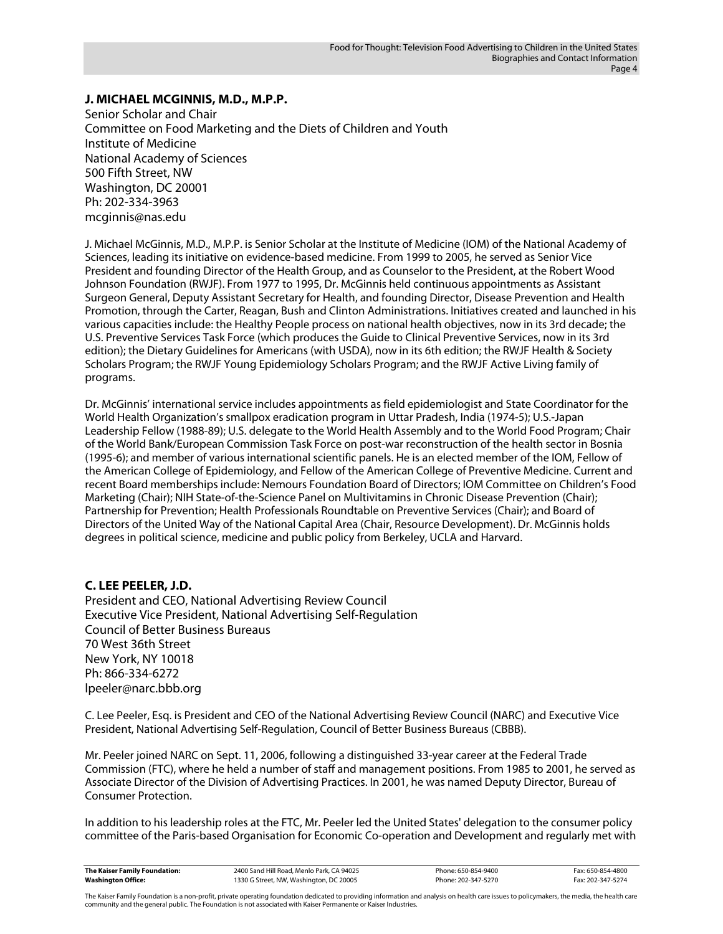## **J. MICHAEL MCGINNIS, M.D., M.P.P.**

Senior Scholar and Chair Committee on Food Marketing and the Diets of Children and Youth Institute of Medicine National Academy of Sciences 500 Fifth Street, NW Washington, DC 20001 Ph: 202-334-3963 mcginnis@nas.edu

J. Michael McGinnis, M.D., M.P.P. is Senior Scholar at the Institute of Medicine (IOM) of the National Academy of Sciences, leading its initiative on evidence-based medicine. From 1999 to 2005, he served as Senior Vice President and founding Director of the Health Group, and as Counselor to the President, at the Robert Wood Johnson Foundation (RWJF). From 1977 to 1995, Dr. McGinnis held continuous appointments as Assistant Surgeon General, Deputy Assistant Secretary for Health, and founding Director, Disease Prevention and Health Promotion, through the Carter, Reagan, Bush and Clinton Administrations. Initiatives created and launched in his various capacities include: the Healthy People process on national health objectives, now in its 3rd decade; the U.S. Preventive Services Task Force (which produces the Guide to Clinical Preventive Services, now in its 3rd edition); the Dietary Guidelines for Americans (with USDA), now in its 6th edition; the RWJF Health & Society Scholars Program; the RWJF Young Epidemiology Scholars Program; and the RWJF Active Living family of programs.

Dr. McGinnis' international service includes appointments as field epidemiologist and State Coordinator for the World Health Organization's smallpox eradication program in Uttar Pradesh, India (1974-5); U.S.-Japan Leadership Fellow (1988-89); U.S. delegate to the World Health Assembly and to the World Food Program; Chair of the World Bank/European Commission Task Force on post-war reconstruction of the health sector in Bosnia (1995-6); and member of various international scientific panels. He is an elected member of the IOM, Fellow of the American College of Epidemiology, and Fellow of the American College of Preventive Medicine. Current and recent Board memberships include: Nemours Foundation Board of Directors; IOM Committee on Children's Food Marketing (Chair); NIH State-of-the-Science Panel on Multivitamins in Chronic Disease Prevention (Chair); Partnership for Prevention; Health Professionals Roundtable on Preventive Services (Chair); and Board of Directors of the United Way of the National Capital Area (Chair, Resource Development). Dr. McGinnis holds degrees in political science, medicine and public policy from Berkeley, UCLA and Harvard.

#### **C. LEE PEELER, J.D.**

President and CEO, National Advertising Review Council Executive Vice President, National Advertising Self-Regulation Council of Better Business Bureaus 70 West 36th Street New York, NY 10018 Ph: 866-334-6272 lpeeler@narc.bbb.org

C. Lee Peeler, Esq. is President and CEO of the National Advertising Review Council (NARC) and Executive Vice President, National Advertising Self-Regulation, Council of Better Business Bureaus (CBBB).

Mr. Peeler joined NARC on Sept. 11, 2006, following a distinguished 33-year career at the Federal Trade Commission (FTC), where he held a number of staff and management positions. From 1985 to 2001, he served as Associate Director of the Division of Advertising Practices. In 2001, he was named Deputy Director, Bureau of Consumer Protection.

In addition to his leadership roles at the FTC, Mr. Peeler led the United States' delegation to the consumer policy committee of the Paris-based Organisation for Economic Co-operation and Development and regularly met with

| The Kaiser Family Foundation: | 2400 Sand Hill Road, Menlo Park, CA 94025 | Phone: 650-854-9400 | Fax: 650-854-4800 |
|-------------------------------|-------------------------------------------|---------------------|-------------------|
| <b>Washington Office:</b>     | 1330 G Street, NW, Washington, DC 20005   | Phone: 202-347-5270 | Fax: 202-347-5274 |